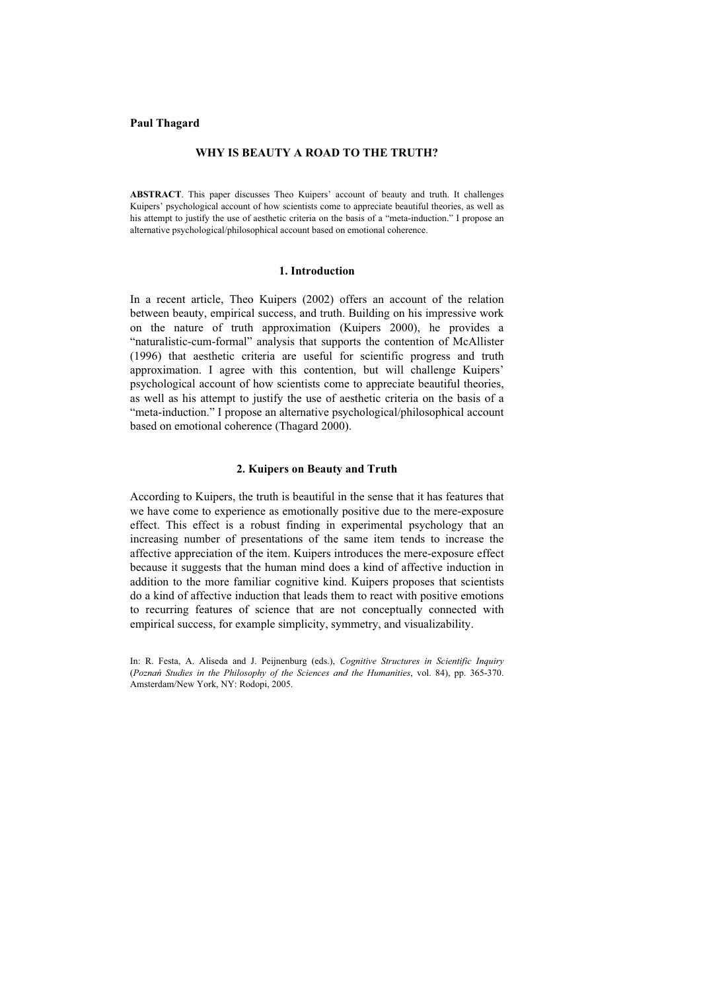# **Paul Thagard**

### **WHY IS BEAUTY A ROAD TO THE TRUTH?**

**ABSTRACT**. This paper discusses Theo Kuipers' account of beauty and truth. It challenges Kuipers' psychological account of how scientists come to appreciate beautiful theories, as well as his attempt to justify the use of aesthetic criteria on the basis of a "meta-induction." I propose an alternative psychological/philosophical account based on emotional coherence.

# **1. Introduction**

In a recent article, Theo Kuipers (2002) offers an account of the relation between beauty, empirical success, and truth. Building on his impressive work on the nature of truth approximation (Kuipers 2000), he provides a "naturalistic-cum-formal" analysis that supports the contention of McAllister (1996) that aesthetic criteria are useful for scientific progress and truth approximation. I agree with this contention, but will challenge Kuipers' psychological account of how scientists come to appreciate beautiful theories, as well as his attempt to justify the use of aesthetic criteria on the basis of a "meta-induction." I propose an alternative psychological/philosophical account based on emotional coherence (Thagard 2000).

# **2. Kuipers on Beauty and Truth**

According to Kuipers, the truth is beautiful in the sense that it has features that we have come to experience as emotionally positive due to the mere-exposure effect. This effect is a robust finding in experimental psychology that an increasing number of presentations of the same item tends to increase the affective appreciation of the item. Kuipers introduces the mere-exposure effect because it suggests that the human mind does a kind of affective induction in addition to the more familiar cognitive kind. Kuipers proposes that scientists do a kind of affective induction that leads them to react with positive emotions to recurring features of science that are not conceptually connected with empirical success, for example simplicity, symmetry, and visualizability.

In: R. Festa, A. Aliseda and J. Peijnenburg (eds.), *Cognitive Structures in Scientific Inquiry* (Poznań Studies in the Philosophy of the Sciences and the Humanities, vol. 84), pp. 365-370. Amsterdam/New York, NY: Rodopi, 2005.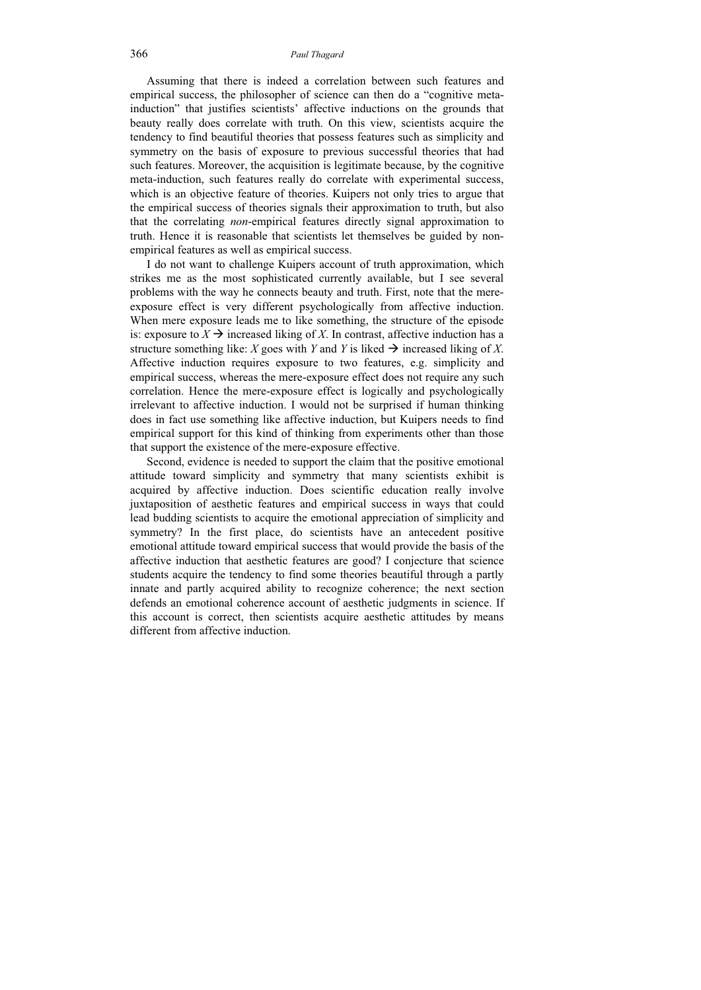Assuming that there is indeed a correlation between such features and empirical success, the philosopher of science can then do a "cognitive metainduction" that justifies scientists' affective inductions on the grounds that beauty really does correlate with truth. On this view, scientists acquire the tendency to find beautiful theories that possess features such as simplicity and symmetry on the basis of exposure to previous successful theories that had such features. Moreover, the acquisition is legitimate because, by the cognitive meta-induction, such features really do correlate with experimental success, which is an objective feature of theories. Kuipers not only tries to argue that the empirical success of theories signals their approximation to truth, but also that the correlating *non*-empirical features directly signal approximation to truth. Hence it is reasonable that scientists let themselves be guided by nonempirical features as well as empirical success.

I do not want to challenge Kuipers account of truth approximation, which strikes me as the most sophisticated currently available, but I see several problems with the way he connects beauty and truth. First, note that the mereexposure effect is very different psychologically from affective induction. When mere exposure leads me to like something, the structure of the episode is: exposure to  $X \rightarrow$  increased liking of *X*. In contrast, affective induction has a structure something like: *X* goes with *Y* and *Y* is liked  $\rightarrow$  increased liking of *X*. Affective induction requires exposure to two features, e.g. simplicity and empirical success, whereas the mere-exposure effect does not require any such correlation. Hence the mere-exposure effect is logically and psychologically irrelevant to affective induction. I would not be surprised if human thinking does in fact use something like affective induction, but Kuipers needs to find empirical support for this kind of thinking from experiments other than those that support the existence of the mere-exposure effective.

Second, evidence is needed to support the claim that the positive emotional attitude toward simplicity and symmetry that many scientists exhibit is acquired by affective induction. Does scientific education really involve juxtaposition of aesthetic features and empirical success in ways that could lead budding scientists to acquire the emotional appreciation of simplicity and symmetry? In the first place, do scientists have an antecedent positive emotional attitude toward empirical success that would provide the basis of the affective induction that aesthetic features are good? I conjecture that science students acquire the tendency to find some theories beautiful through a partly innate and partly acquired ability to recognize coherence; the next section defends an emotional coherence account of aesthetic judgments in science. If this account is correct, then scientists acquire aesthetic attitudes by means different from affective induction.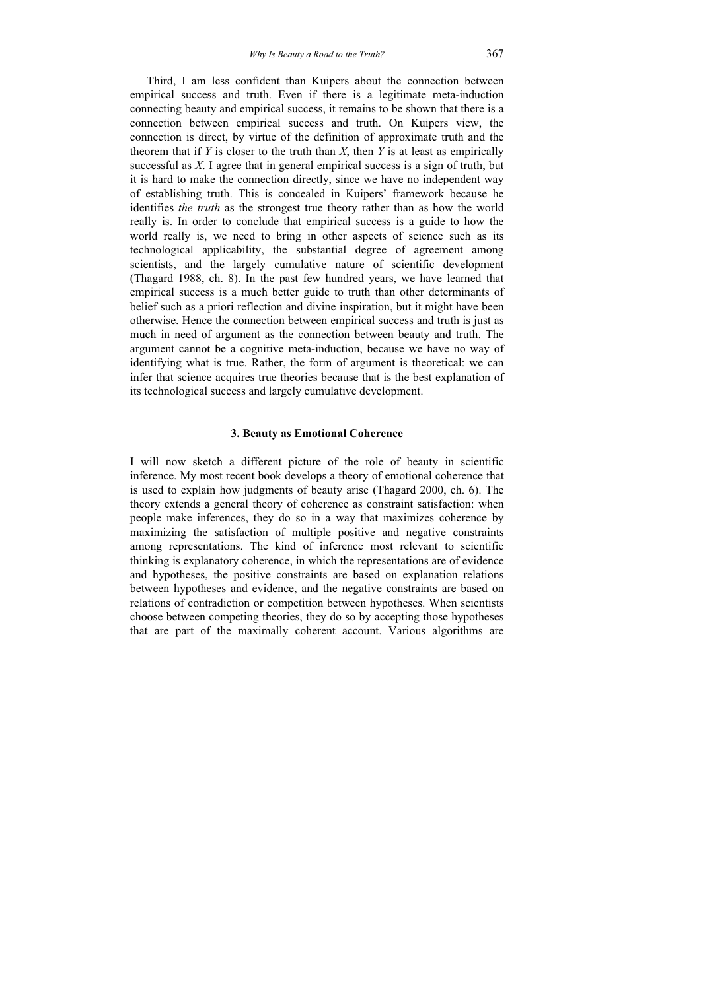Third, I am less confident than Kuipers about the connection between empirical success and truth. Even if there is a legitimate meta-induction connecting beauty and empirical success, it remains to be shown that there is a connection between empirical success and truth. On Kuipers view, the connection is direct, by virtue of the definition of approximate truth and the theorem that if  $Y$  is closer to the truth than  $X$ , then  $Y$  is at least as empirically successful as *X*. I agree that in general empirical success is a sign of truth, but it is hard to make the connection directly, since we have no independent way of establishing truth. This is concealed in Kuipers' framework because he identifies *the truth* as the strongest true theory rather than as how the world really is. In order to conclude that empirical success is a guide to how the world really is, we need to bring in other aspects of science such as its technological applicability, the substantial degree of agreement among scientists, and the largely cumulative nature of scientific development (Thagard 1988, ch. 8). In the past few hundred years, we have learned that empirical success is a much better guide to truth than other determinants of belief such as a priori reflection and divine inspiration, but it might have been otherwise. Hence the connection between empirical success and truth is just as much in need of argument as the connection between beauty and truth. The argument cannot be a cognitive meta-induction, because we have no way of identifying what is true. Rather, the form of argument is theoretical: we can infer that science acquires true theories because that is the best explanation of its technological success and largely cumulative development.

#### **3. Beauty as Emotional Coherence**

I will now sketch a different picture of the role of beauty in scientific inference. My most recent book develops a theory of emotional coherence that is used to explain how judgments of beauty arise (Thagard 2000, ch. 6). The theory extends a general theory of coherence as constraint satisfaction: when people make inferences, they do so in a way that maximizes coherence by maximizing the satisfaction of multiple positive and negative constraints among representations. The kind of inference most relevant to scientific thinking is explanatory coherence, in which the representations are of evidence and hypotheses, the positive constraints are based on explanation relations between hypotheses and evidence, and the negative constraints are based on relations of contradiction or competition between hypotheses. When scientists choose between competing theories, they do so by accepting those hypotheses that are part of the maximally coherent account. Various algorithms are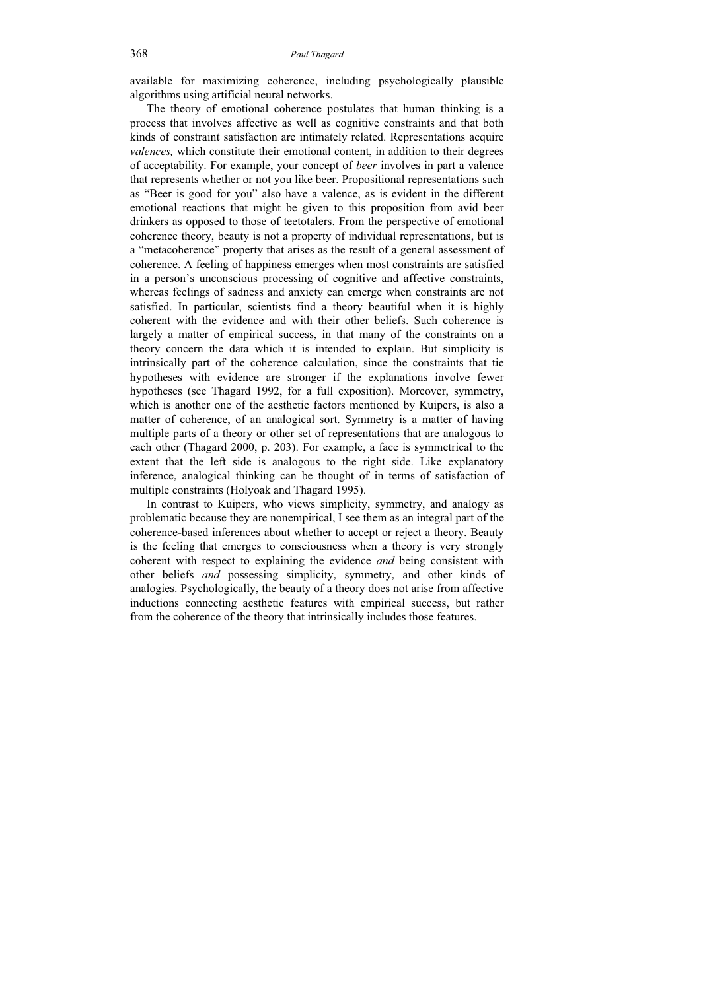available for maximizing coherence, including psychologically plausible algorithms using artificial neural networks.

The theory of emotional coherence postulates that human thinking is a process that involves affective as well as cognitive constraints and that both kinds of constraint satisfaction are intimately related. Representations acquire *valences,* which constitute their emotional content, in addition to their degrees of acceptability. For example, your concept of *beer* involves in part a valence that represents whether or not you like beer. Propositional representations such as "Beer is good for you" also have a valence, as is evident in the different emotional reactions that might be given to this proposition from avid beer drinkers as opposed to those of teetotalers. From the perspective of emotional coherence theory, beauty is not a property of individual representations, but is a "metacoherence" property that arises as the result of a general assessment of coherence. A feeling of happiness emerges when most constraints are satisfied in a person's unconscious processing of cognitive and affective constraints, whereas feelings of sadness and anxiety can emerge when constraints are not satisfied. In particular, scientists find a theory beautiful when it is highly coherent with the evidence and with their other beliefs. Such coherence is largely a matter of empirical success, in that many of the constraints on a theory concern the data which it is intended to explain. But simplicity is intrinsically part of the coherence calculation, since the constraints that tie hypotheses with evidence are stronger if the explanations involve fewer hypotheses (see Thagard 1992, for a full exposition). Moreover, symmetry, which is another one of the aesthetic factors mentioned by Kuipers, is also a matter of coherence, of an analogical sort. Symmetry is a matter of having multiple parts of a theory or other set of representations that are analogous to each other (Thagard 2000, p. 203). For example, a face is symmetrical to the extent that the left side is analogous to the right side. Like explanatory inference, analogical thinking can be thought of in terms of satisfaction of multiple constraints (Holyoak and Thagard 1995).

In contrast to Kuipers, who views simplicity, symmetry, and analogy as problematic because they are nonempirical, I see them as an integral part of the coherence-based inferences about whether to accept or reject a theory. Beauty is the feeling that emerges to consciousness when a theory is very strongly coherent with respect to explaining the evidence *and* being consistent with other beliefs *and* possessing simplicity, symmetry, and other kinds of analogies. Psychologically, the beauty of a theory does not arise from affective inductions connecting aesthetic features with empirical success, but rather from the coherence of the theory that intrinsically includes those features.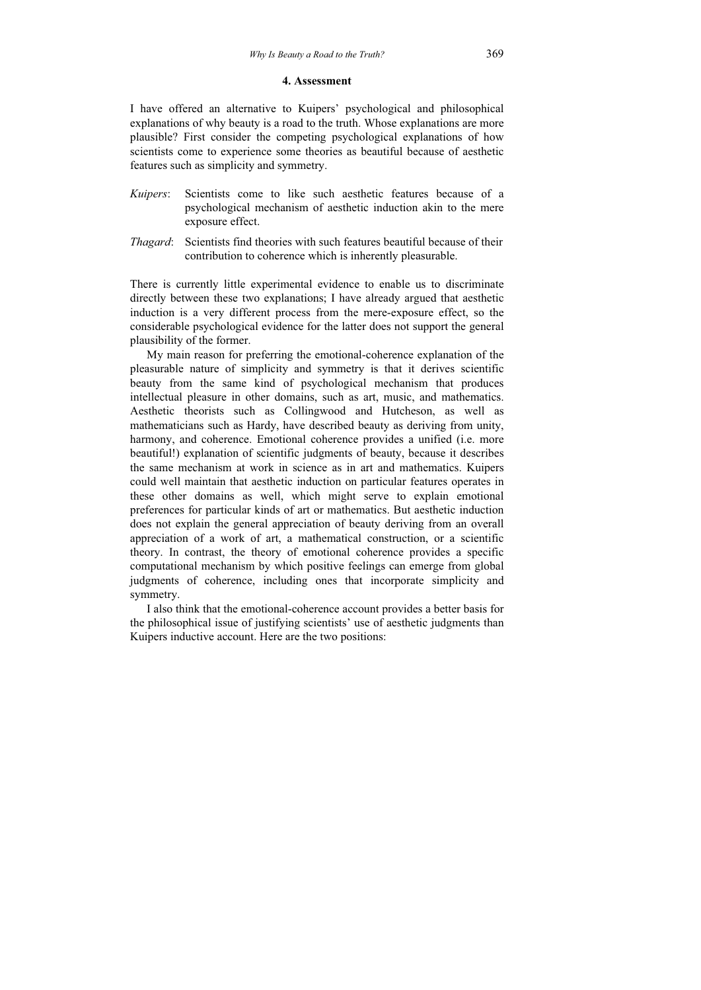#### **4. Assessment**

I have offered an alternative to Kuipers' psychological and philosophical explanations of why beauty is a road to the truth. Whose explanations are more plausible? First consider the competing psychological explanations of how scientists come to experience some theories as beautiful because of aesthetic features such as simplicity and symmetry.

- *Kuipers*: Scientists come to like such aesthetic features because of a psychological mechanism of aesthetic induction akin to the mere exposure effect.
- *Thagard*: Scientists find theories with such features beautiful because of their contribution to coherence which is inherently pleasurable.

There is currently little experimental evidence to enable us to discriminate directly between these two explanations; I have already argued that aesthetic induction is a very different process from the mere-exposure effect, so the considerable psychological evidence for the latter does not support the general plausibility of the former.

My main reason for preferring the emotional-coherence explanation of the pleasurable nature of simplicity and symmetry is that it derives scientific beauty from the same kind of psychological mechanism that produces intellectual pleasure in other domains, such as art, music, and mathematics. Aesthetic theorists such as Collingwood and Hutcheson, as well as mathematicians such as Hardy, have described beauty as deriving from unity, harmony, and coherence. Emotional coherence provides a unified (i.e. more beautiful!) explanation of scientific judgments of beauty, because it describes the same mechanism at work in science as in art and mathematics. Kuipers could well maintain that aesthetic induction on particular features operates in these other domains as well, which might serve to explain emotional preferences for particular kinds of art or mathematics. But aesthetic induction does not explain the general appreciation of beauty deriving from an overall appreciation of a work of art, a mathematical construction, or a scientific theory. In contrast, the theory of emotional coherence provides a specific computational mechanism by which positive feelings can emerge from global judgments of coherence, including ones that incorporate simplicity and symmetry.

I also think that the emotional-coherence account provides a better basis for the philosophical issue of justifying scientists' use of aesthetic judgments than Kuipers inductive account. Here are the two positions: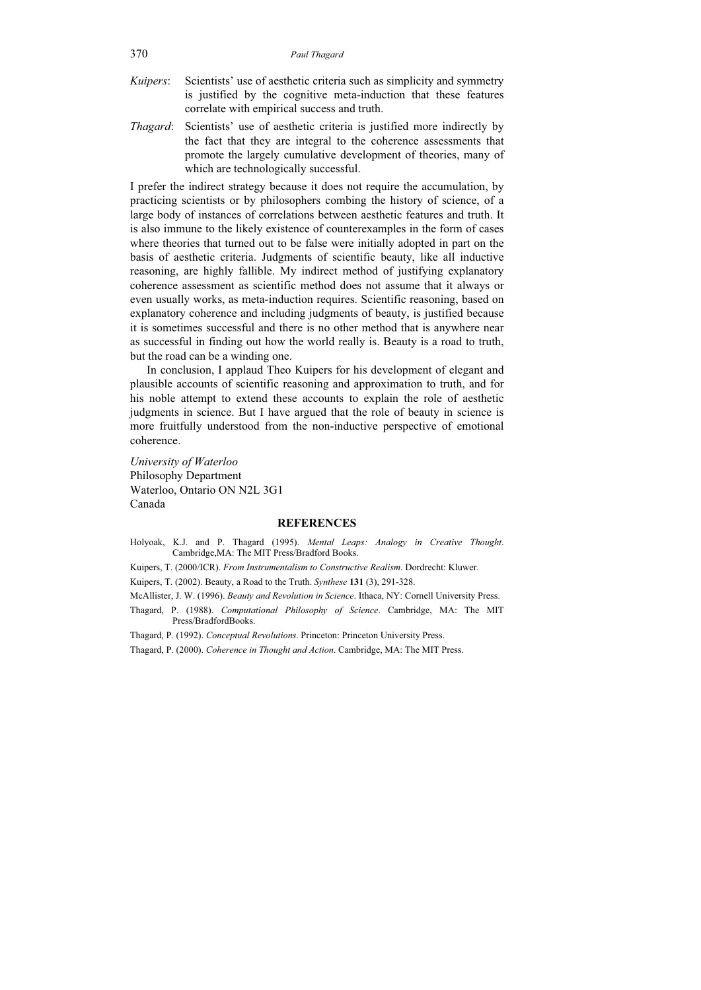- *Kuipers*: Scientists' use of aesthetic criteria such as simplicity and symmetry is justified by the cognitive meta-induction that these features correlate with empirical success and truth.
- *Thagard*: Scientists' use of aesthetic criteria is justified more indirectly by the fact that they are integral to the coherence assessments that promote the largely cumulative development of theories, many of which are technologically successful.

I prefer the indirect strategy because it does not require the accumulation, by practicing scientists or by philosophers combing the history of science, of a large body of instances of correlations between aesthetic features and truth. It is also immune to the likely existence of counterexamples in the form of cases where theories that turned out to be false were initially adopted in part on the basis of aesthetic criteria. Judgments of scientific beauty, like all inductive reasoning, are highly fallible. My indirect method of justifying explanatory coherence assessment as scientific method does not assume that it always or even usually works, as meta-induction requires. Scientific reasoning, based on explanatory coherence and including judgments of beauty, is justified because it is sometimes successful and there is no other method that is anywhere near as successful in finding out how the world really is. Beauty is a road to truth, but the road can be a winding one.

In conclusion, I applaud Theo Kuipers for his development of elegant and plausible accounts of scientific reasoning and approximation to truth, and for his noble attempt to extend these accounts to explain the role of aesthetic judgments in science. But I have argued that the role of beauty in science is more fruitfully understood from the non-inductive perspective of emotional coherence.

*University of Waterloo* Philosophy Department Waterloo, Ontario ON N2L 3G1 Canada

#### **REFERENCES**

Holyoak, K.J. and P. Thagard (1995). *Mental Leaps: Analogy in Creative Thought*. Cambridge,MA: The MIT Press/Bradford Books.

Kuipers, T. (2000/ICR). *From Instrumentalism to Constructive Realism*. Dordrecht: Kluwer.

Kuipers, T. (2002). Beauty, a Road to the Truth. *Synthese* **131** (3), 291-328.

McAllister, J. W. (1996). *Beauty and Revolution in Science*. Ithaca, NY: Cornell University Press.

Thagard, P. (1988). *Computational Philosophy of Science*. Cambridge, MA: The MIT Press/BradfordBooks.

Thagard, P. (1992). *Conceptual Revolutions*. Princeton: Princeton University Press.

Thagard, P. (2000). *Coherence in Thought and Action*. Cambridge, MA: The MIT Press.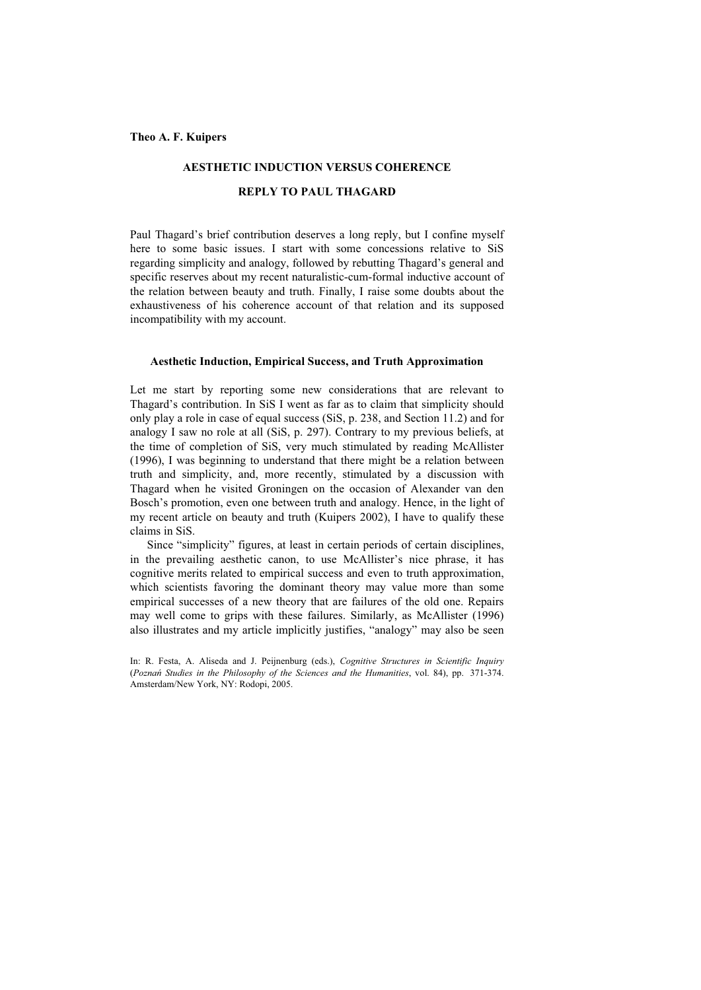# **Theo A. F. Kuipers**

### **AESTHETIC INDUCTION VERSUS COHERENCE**

# **REPLY TO PAUL THAGARD**

Paul Thagard's brief contribution deserves a long reply, but I confine myself here to some basic issues. I start with some concessions relative to SiS regarding simplicity and analogy, followed by rebutting Thagard's general and specific reserves about my recent naturalistic-cum-formal inductive account of the relation between beauty and truth. Finally, I raise some doubts about the exhaustiveness of his coherence account of that relation and its supposed incompatibility with my account.

### **Aesthetic Induction, Empirical Success, and Truth Approximation**

Let me start by reporting some new considerations that are relevant to Thagard's contribution. In SiS I went as far as to claim that simplicity should only play a role in case of equal success (SiS, p. 238, and Section 11.2) and for analogy I saw no role at all (SiS, p. 297). Contrary to my previous beliefs, at the time of completion of SiS, very much stimulated by reading McAllister (1996), I was beginning to understand that there might be a relation between truth and simplicity, and, more recently, stimulated by a discussion with Thagard when he visited Groningen on the occasion of Alexander van den Bosch's promotion, even one between truth and analogy. Hence, in the light of my recent article on beauty and truth (Kuipers 2002), I have to qualify these claims in SiS.

Since "simplicity" figures, at least in certain periods of certain disciplines, in the prevailing aesthetic canon, to use McAllister's nice phrase, it has cognitive merits related to empirical success and even to truth approximation, which scientists favoring the dominant theory may value more than some empirical successes of a new theory that are failures of the old one. Repairs may well come to grips with these failures. Similarly, as McAllister (1996) also illustrates and my article implicitly justifies, "analogy" may also be seen

In: R. Festa, A. Aliseda and J. Peijnenburg (eds.), *Cognitive Structures in Scientific Inquiry* (*PoznaĔ Studies in the Philosophy of the Sciences and the Humanities*, vol. 84), pp. 371-374. Amsterdam/New York, NY: Rodopi, 2005.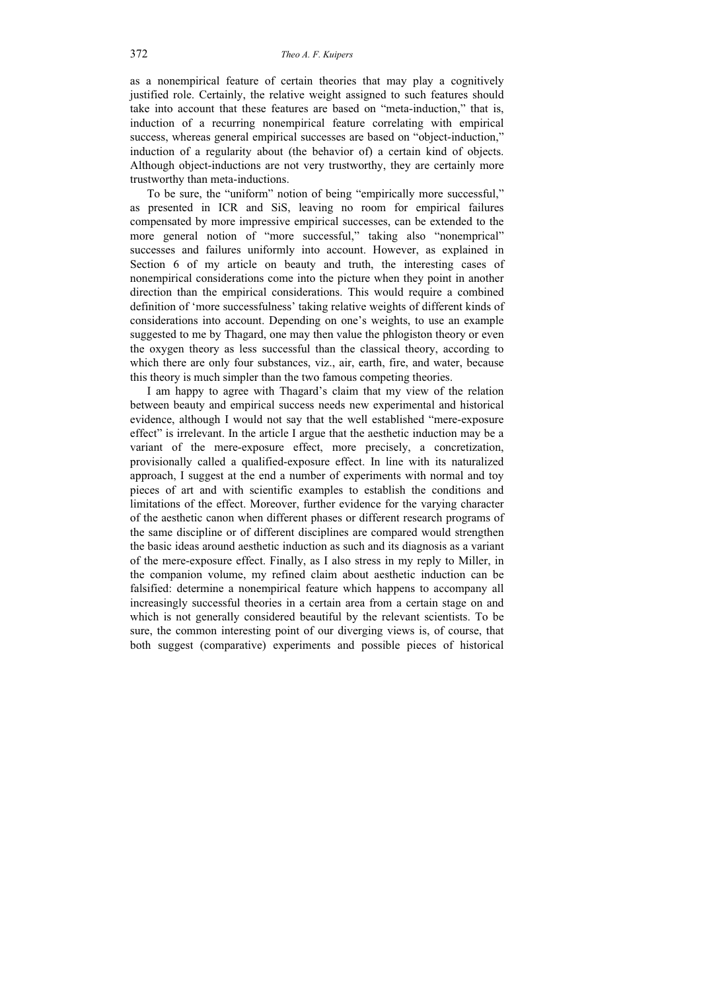as a nonempirical feature of certain theories that may play a cognitively justified role. Certainly, the relative weight assigned to such features should take into account that these features are based on "meta-induction," that is, induction of a recurring nonempirical feature correlating with empirical success, whereas general empirical successes are based on "object-induction," induction of a regularity about (the behavior of) a certain kind of objects. Although object-inductions are not very trustworthy, they are certainly more trustworthy than meta-inductions.

To be sure, the "uniform" notion of being "empirically more successful," as presented in ICR and SiS, leaving no room for empirical failures compensated by more impressive empirical successes, can be extended to the more general notion of "more successful," taking also "nonemprical" successes and failures uniformly into account. However, as explained in Section 6 of my article on beauty and truth, the interesting cases of nonempirical considerations come into the picture when they point in another direction than the empirical considerations. This would require a combined definition of 'more successfulness' taking relative weights of different kinds of considerations into account. Depending on one's weights, to use an example suggested to me by Thagard, one may then value the phlogiston theory or even the oxygen theory as less successful than the classical theory, according to which there are only four substances, viz., air, earth, fire, and water, because this theory is much simpler than the two famous competing theories.

I am happy to agree with Thagard's claim that my view of the relation between beauty and empirical success needs new experimental and historical evidence, although I would not say that the well established "mere-exposure effect" is irrelevant. In the article I argue that the aesthetic induction may be a variant of the mere-exposure effect, more precisely, a concretization, provisionally called a qualified-exposure effect. In line with its naturalized approach, I suggest at the end a number of experiments with normal and toy pieces of art and with scientific examples to establish the conditions and limitations of the effect. Moreover, further evidence for the varying character of the aesthetic canon when different phases or different research programs of the same discipline or of different disciplines are compared would strengthen the basic ideas around aesthetic induction as such and its diagnosis as a variant of the mere-exposure effect. Finally, as I also stress in my reply to Miller, in the companion volume, my refined claim about aesthetic induction can be falsified: determine a nonempirical feature which happens to accompany all increasingly successful theories in a certain area from a certain stage on and which is not generally considered beautiful by the relevant scientists. To be sure, the common interesting point of our diverging views is, of course, that both suggest (comparative) experiments and possible pieces of historical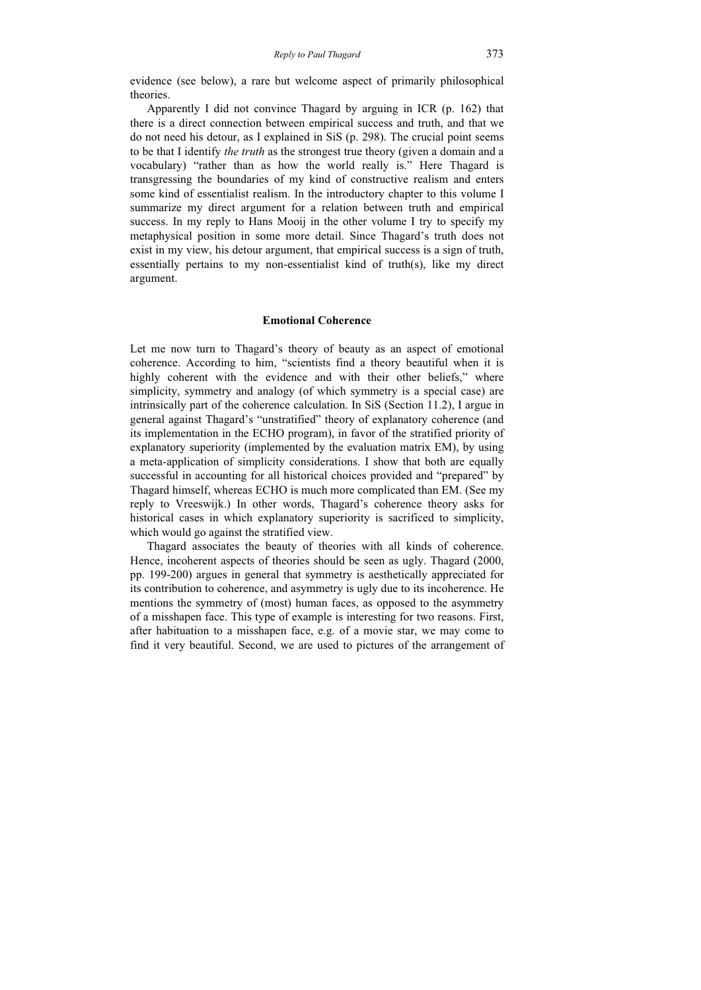evidence (see below), a rare but welcome aspect of primarily philosophical theories.

Apparently I did not convince Thagard by arguing in ICR (p. 162) that there is a direct connection between empirical success and truth, and that we do not need his detour, as I explained in SiS (p. 298). The crucial point seems to be that I identify *the truth* as the strongest true theory (given a domain and a vocabulary) "rather than as how the world really is." Here Thagard is transgressing the boundaries of my kind of constructive realism and enters some kind of essentialist realism. In the introductory chapter to this volume I summarize my direct argument for a relation between truth and empirical success. In my reply to Hans Mooij in the other volume I try to specify my metaphysical position in some more detail. Since Thagard's truth does not exist in my view, his detour argument, that empirical success is a sign of truth, essentially pertains to my non-essentialist kind of truth(s), like my direct argument.

#### **Emotional Coherence**

Let me now turn to Thagard's theory of beauty as an aspect of emotional coherence. According to him, "scientists find a theory beautiful when it is highly coherent with the evidence and with their other beliefs," where simplicity, symmetry and analogy (of which symmetry is a special case) are intrinsically part of the coherence calculation. In SiS (Section 11.2), I argue in general against Thagard's "unstratified" theory of explanatory coherence (and its implementation in the ECHO program), in favor of the stratified priority of explanatory superiority (implemented by the evaluation matrix EM), by using a meta-application of simplicity considerations. I show that both are equally successful in accounting for all historical choices provided and "prepared" by Thagard himself, whereas ECHO is much more complicated than EM. (See my reply to Vreeswijk.) In other words, Thagard's coherence theory asks for historical cases in which explanatory superiority is sacrificed to simplicity, which would go against the stratified view.

Thagard associates the beauty of theories with all kinds of coherence. Hence, incoherent aspects of theories should be seen as ugly. Thagard (2000, pp. 199-200) argues in general that symmetry is aesthetically appreciated for its contribution to coherence, and asymmetry is ugly due to its incoherence. He mentions the symmetry of (most) human faces, as opposed to the asymmetry of a misshapen face. This type of example is interesting for two reasons. First, after habituation to a misshapen face, e.g. of a movie star, we may come to find it very beautiful. Second, we are used to pictures of the arrangement of